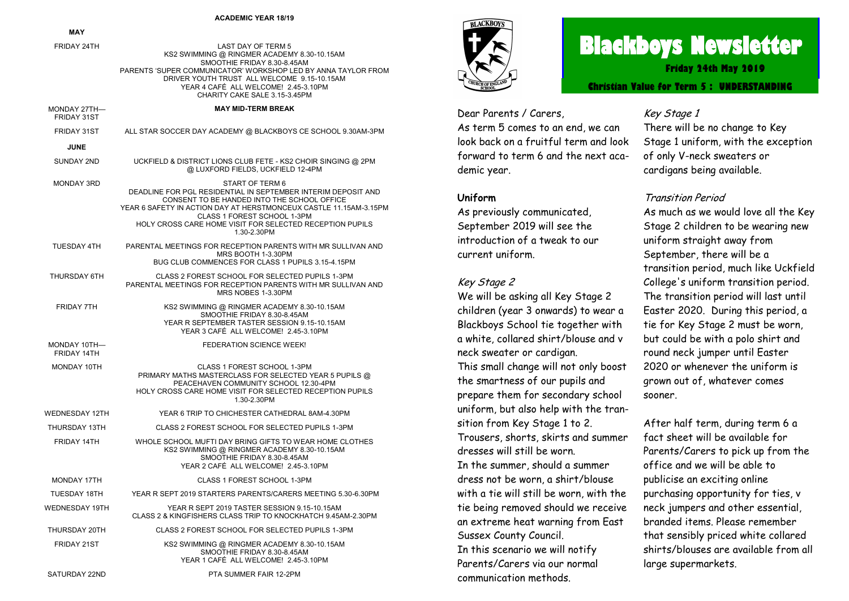#### **ACADEMIC YEAR 18/19**

|                             | ACADEMIC YEAR 18/19                                                                                                                                                                                                                                                                                            |
|-----------------------------|----------------------------------------------------------------------------------------------------------------------------------------------------------------------------------------------------------------------------------------------------------------------------------------------------------------|
| MAY                         |                                                                                                                                                                                                                                                                                                                |
| FRIDAY 24TH                 | <b>LAST DAY OF TERM 5</b><br>KS2 SWIMMING @ RINGMER ACADEMY 8.30-10.15AM<br>SMOOTHIE FRIDAY 8.30-8.45AM<br>PARENTS 'SUPER COMMUNICATOR' WORKSHOP LED BY ANNA TAYLOR FROM<br>DRIVER YOUTH TRUST ALL WELCOME 9.15-10.15AM<br>YEAR 4 CAFÉ ALL WELCOME! 2.45-3.10PM<br>CHARITY CAKE SALE 3.15-3.45PM               |
| MONDAY 27TH-<br>FRIDAY 31ST | <b>MAY MID-TERM BREAK</b>                                                                                                                                                                                                                                                                                      |
| FRIDAY 31ST                 | ALL STAR SOCCER DAY ACADEMY @ BLACKBOYS CE SCHOOL 9.30AM-3PM                                                                                                                                                                                                                                                   |
| <b>JUNE</b>                 |                                                                                                                                                                                                                                                                                                                |
| SUNDAY 2ND                  | UCKFIELD & DISTRICT LIONS CLUB FETE - KS2 CHOIR SINGING @ 2PM<br>@ LUXFORD FIELDS, UCKFIELD 12-4PM                                                                                                                                                                                                             |
| MONDAY 3RD                  | START OF TERM 6<br>DEADLINE FOR PGL RESIDENTIAL IN SEPTEMBER INTERIM DEPOSIT AND<br>CONSENT TO BE HANDED INTO THE SCHOOL OFFICE<br>YEAR 6 SAFETY IN ACTION DAY AT HERSTMONCEUX CASTLE 11.15AM-3.15PM<br>CLASS 1 FOREST SCHOOL 1-3PM<br>HOLY CROSS CARE HOME VISIT FOR SELECTED RECEPTION PUPILS<br>1.30-2.30PM |
| TUESDAY 4TH                 | PARENTAL MEETINGS FOR RECEPTION PARENTS WITH MR SULLIVAN AND<br>MRS BOOTH 1-3.30PM<br>BUG CLUB COMMENCES FOR CLASS 1 PUPILS 3.15-4.15PM                                                                                                                                                                        |
| THURSDAY 6TH                | CLASS 2 FOREST SCHOOL FOR SELECTED PUPILS 1-3PM<br>PARENTAL MEETINGS FOR RECEPTION PARENTS WITH MR SULLIVAN AND<br>MRS NOBES 1-3.30PM                                                                                                                                                                          |
| FRIDAY 7TH                  | KS2 SWIMMING @ RINGMER ACADEMY 8.30-10.15AM<br>SMOOTHIE FRIDAY 8.30-8.45AM<br>YEAR R SEPTEMBER TASTER SESSION 9.15-10.15AM<br>YEAR 3 CAFÉ ALL WELCOME! 2.45-3.10PM                                                                                                                                             |
| MONDAY 10TH-<br>FRIDAY 14TH | FEDERATION SCIENCE WEEK!                                                                                                                                                                                                                                                                                       |
| MONDAY 10TH                 | CLASS 1 FOREST SCHOOL 1-3PM<br>PRIMARY MATHS MASTERCLASS FOR SELECTED YEAR 5 PUPILS @<br>PEACEHAVEN COMMUNITY SCHOOL 12.30-4PM<br>HOLY CROSS CARE HOME VISIT FOR SELECTED RECEPTION PUPILS<br>1.30-2.30PM                                                                                                      |
| <b>WEDNESDAY 12TH</b>       | YEAR 6 TRIP TO CHICHESTER CATHEDRAL 8AM-4.30PM                                                                                                                                                                                                                                                                 |
| THURSDAY 13TH               | CLASS 2 FOREST SCHOOL FOR SELECTED PUPILS 1-3PM                                                                                                                                                                                                                                                                |
| FRIDAY 14TH                 | WHOLE SCHOOL MUFTI DAY BRING GIFTS TO WEAR HOME CLOTHES<br>KS2 SWIMMING @ RINGMER ACADEMY 8.30-10.15AM<br>SMOOTHIE FRIDAY 8.30-8.45AM<br>YEAR 2 CAFÉ ALL WELCOME! 2.45-3.10PM                                                                                                                                  |
| MONDAY 17TH                 | CLASS 1 FOREST SCHOOL 1-3PM                                                                                                                                                                                                                                                                                    |
| <b>TUESDAY 18TH</b>         | YEAR R SEPT 2019 STARTERS PARENTS/CARERS MEETING 5.30-6.30PM                                                                                                                                                                                                                                                   |
| <b>WEDNESDAY 19TH</b>       | YEAR R SEPT 2019 TASTER SESSION 9.15-10.15AM<br>CLASS 2 & KINGFISHERS CLASS TRIP TO KNOCKHATCH 9.45AM-2.30PM                                                                                                                                                                                                   |
| THURSDAY 20TH               | CLASS 2 FOREST SCHOOL FOR SELECTED PUPILS 1-3PM                                                                                                                                                                                                                                                                |
| <b>FRIDAY 21ST</b>          | KS2 SWIMMING @ RINGMER ACADEMY 8.30-10.15AM<br>SMOOTHIE FRIDAY 8.30-8.45AM                                                                                                                                                                                                                                     |

YEAR 1 CAFÉ ALL WELCOME! 2.45-3.10PM

SATURDAY 22ND **PTA SUMMER FAIR 12-2PM** 



# **Blackboys Newsletter**

**Friday 24th May 2019**

**Christian Value for Term 5 : UNDERSTANDING**

Dear Parents / Carers, As term 5 comes to an end, we can look back on a fruitful term and look forward to term 6 and the next academic year.

### **Uniform**

As previously communicated, September 2019 will see the introduction of a tweak to our current uniform.

#### Key Stage 2

We will be asking all Key Stage 2 children (year 3 onwards) to wear a Blackboys School tie together with a white, collared shirt/blouse and v neck sweater or cardigan. This small change will not only boost the smartness of our pupils and prepare them for secondary school uniform, but also help with the transition from Key Stage 1 to 2. Trousers, shorts, skirts and summer dresses will still be worn. In the summer, should a summer dress not be worn, a shirt/blouse with a tie will still be worn, with the tie being removed should we receive an extreme heat warning from East Sussex County Council. In this scenario we will notify Parents/Carers via our normal communication methods.

# Key Stage 1

There will be no change to Key Stage 1 uniform, with the exception of only V-neck sweaters or cardigans being available.

# Transition Period

As much as we would love all the Key Stage 2 children to be wearing new uniform straight away from September, there will be a transition period, much like Uckfield College's uniform transition period. The transition period will last until Easter 2020. During this period, a tie for Key Stage 2 must be worn, but could be with a polo shirt and round neck jumper until Easter 2020 or whenever the uniform is grown out of, whatever comes sooner.

After half term, during term 6 a fact sheet will be available for Parents/Carers to pick up from the office and we will be able to publicise an exciting online purchasing opportunity for ties, v neck jumpers and other essential, branded items. Please remember that sensibly priced white collared shirts/blouses are available from all large supermarkets.